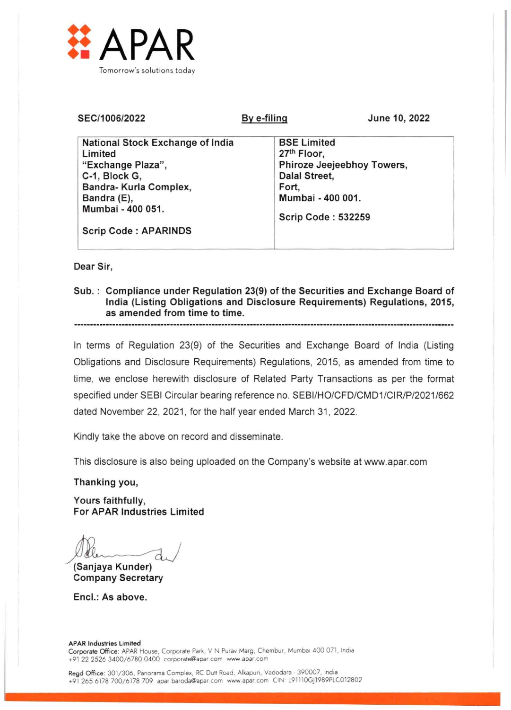

| SEC/1006/2022                                                                                                                                   | By e-filing                                                                                                   | June 10, 2022              |  |  |  |  |  |
|-------------------------------------------------------------------------------------------------------------------------------------------------|---------------------------------------------------------------------------------------------------------------|----------------------------|--|--|--|--|--|
| National Stock Exchange of India<br>Limited<br>"Exchange Plaza",<br>C-1, Block G,<br>Bandra- Kurla Complex,<br>Bandra (E),<br>Mumbai - 400 051. | <b>BSE Limited</b><br>27th Floor,<br>Dalal Street,<br>Fort,<br>Mumbai - 400 001.<br><b>Scrip Code: 532259</b> | Phiroze Jeejeebhoy Towers, |  |  |  |  |  |
| <b>Scrip Code: APARINDS</b>                                                                                                                     |                                                                                                               |                            |  |  |  |  |  |

## Dear Sir,

Sub. : Compliance under Regulation 23(9) of the Securities and Exchange Board of India (Listing Obligations and Disclosure Requirements) Regulations, 2015, as amended from time to time.

In terms of Regulation 23(9) of the Securities and Exchange Board of India (Listing Obligations and Disclosure Requirements) Regulations, 2015, as amended from time to time, we enclose herewith disclosure of Related Party Transactions as per the format specified under SEBI Circular bearing reference no. SEBI/HO/CFD/CMD1/CIR/P/2021/662 dated November 22, 2021, for the half year ended March 31, 2022.

Kindly take the above on record and disseminate.

This disclosure is also being uploaded on the Company's website at www.apar.com

Thanking you,

Yours faithfully, For APAR Industries Limited

 $d \sqrt{}$ 

(Sanjaya Kunder) Company Secretary

Encl.: As above.

## APAR Industries Limited Corporate Office: APAR House, Corporate Park, V N Purav Marg, Chembur, Mumbai 400 071, India +91 22 2526 3400/6780 0400 corporate@apar.com www apar corn

Regd Office: 301/306, Panorama Complex, RC Dutt Road, Alkapuri, Vadodara - 390007, India +91 265 6178 700/6178 709 apar baroda@apar.com www apar corn CIN L91110GJ1989PLC012802